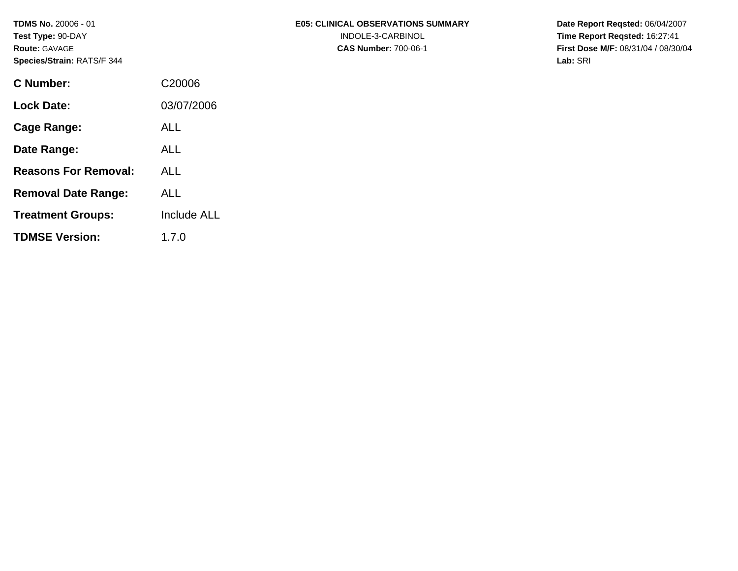**TDMS No.** 20006 - 01 **Test Type:** 90-DAY **Route:** GAVAGE **Species/Strain:** RATS/F 344

| C Number:                   | C <sub>20006</sub> |
|-----------------------------|--------------------|
| <b>Lock Date:</b>           | 03/07/2006         |
| Cage Range:                 | ALL                |
| Date Range:                 | ALL                |
| <b>Reasons For Removal:</b> | ALL                |
| <b>Removal Date Range:</b>  | ALL                |
| <b>Treatment Groups:</b>    | <b>Include ALL</b> |
| <b>TDMSE Version:</b>       | 1.7.0              |

**Date Report Reqsted:** 06/04/2007 **Time Report Reqsted:** 16:27:41 **First Dose M/F:** 08/31/04 / 08/30/04 **Lab:** SRI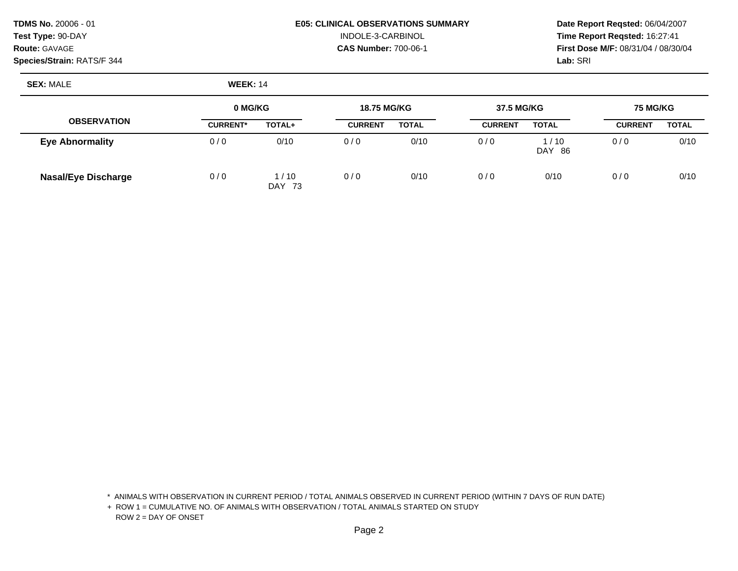### **Species/Strain:** RATS/F 344 **Lab:** SRI

# **TDMS No.** 20006 - 01 **E05: CLINICAL OBSERVATIONS SUMMARY Date Report Reqsted:** 06/04/2007 **Test Type:** 90-DAY INDOLE-3-CARBINOL **Time Report Reqsted:** 16:27:41

**Route:** GAVAGE **CAS Number:** 700-06-1 **First Dose M/F:** 08/31/04 / 08/30/04

**SEX:** MALE **WEEK:** 14

|                            | 0 MG/KG<br><b>18.75 MG/KG</b> |                            | 37.5 MG/KG     |              | <b>75 MG/KG</b> |                  |                |              |
|----------------------------|-------------------------------|----------------------------|----------------|--------------|-----------------|------------------|----------------|--------------|
| <b>OBSERVATION</b>         | <b>CURRENT*</b>               | TOTAL+                     | <b>CURRENT</b> | <b>TOTAL</b> | <b>CURRENT</b>  | <b>TOTAL</b>     | <b>CURRENT</b> | <b>TOTAL</b> |
| <b>Eye Abnormality</b>     | 0/0                           | 0/10                       | 0/0            | 0/10         | 0/0             | l / 10<br>DAY 86 | 0/0            | 0/10         |
| <b>Nasal/Eye Discharge</b> | 0/0                           | 1/10<br><b>DAY</b><br>- 73 | 0/0            | 0/10         | 0/0             | 0/10             | 0/0            | 0/10         |

\* ANIMALS WITH OBSERVATION IN CURRENT PERIOD / TOTAL ANIMALS OBSERVED IN CURRENT PERIOD (WITHIN 7 DAYS OF RUN DATE)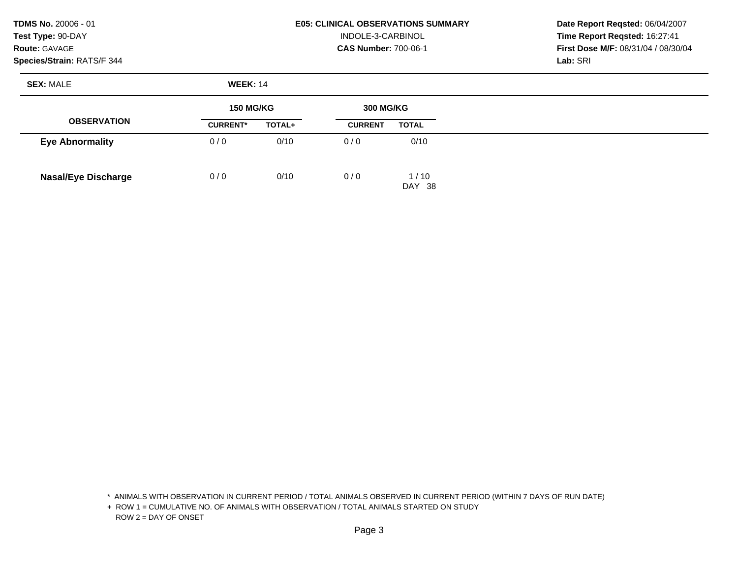**TDMS No.** 20006 - 01 **Test Type:** 90-DAY **Route:** GAVAGE

#### **Species/Strain:** RATS/F 344

#### **E05: CLINICAL OBSERVATIONS SUMMARY**  INDOLE-3-CARBINOL **CAS Number:** 700-06-1

**Date Report Reqsted:** 06/04/2007 **Time Report Reqsted:** 16:27:41 **First Dose M/F:** 08/31/04 / 08/30/04 **Lab:** SRI

**SEX:** MALE **WEEK:** 14

|                            |                 | <b>150 MG/KG</b> |                | <b>300 MG/KG</b> |  |
|----------------------------|-----------------|------------------|----------------|------------------|--|
| <b>OBSERVATION</b>         | <b>CURRENT*</b> | TOTAL+           | <b>CURRENT</b> | <b>TOTAL</b>     |  |
| <b>Eye Abnormality</b>     | 0/0             | 0/10             | 0/0            | 0/10             |  |
| <b>Nasal/Eye Discharge</b> | 0/0             | 0/10             | 0/0            | 1/10<br>DAY 38   |  |

\* ANIMALS WITH OBSERVATION IN CURRENT PERIOD / TOTAL ANIMALS OBSERVED IN CURRENT PERIOD (WITHIN 7 DAYS OF RUN DATE)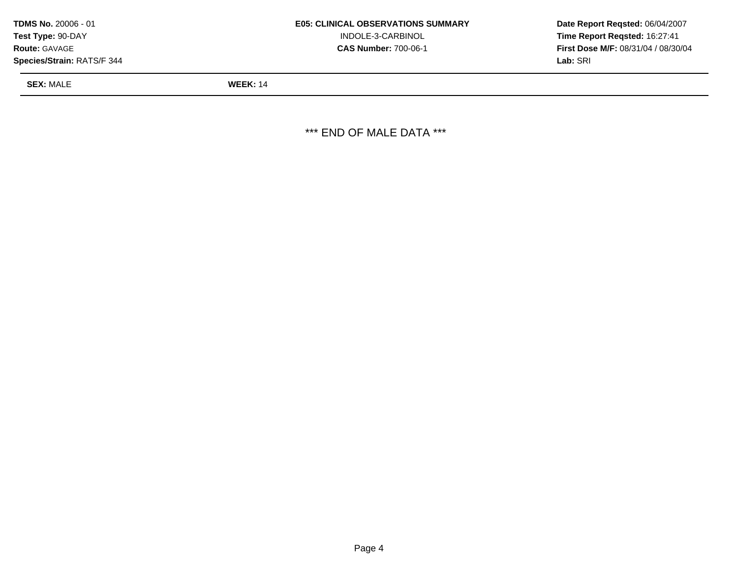| <b>SEX: MALE</b>                  | <b>WEEK: 14</b>                           |                                            |
|-----------------------------------|-------------------------------------------|--------------------------------------------|
| <b>Species/Strain: RATS/F 344</b> |                                           | Lab: SRI                                   |
| <b>Route: GAVAGE</b>              | <b>CAS Number: 700-06-1</b>               | <b>First Dose M/F: 08/31/04 / 08/30/04</b> |
| <b>Test Type: 90-DAY</b>          | INDOLE-3-CARBINOL                         | Time Report Regsted: 16:27:41              |
| <b>TDMS No. 20006 - 01</b>        | <b>E05: CLINICAL OBSERVATIONS SUMMARY</b> | Date Report Regsted: 06/04/2007            |

\*\*\* END OF MALE DATA \*\*\*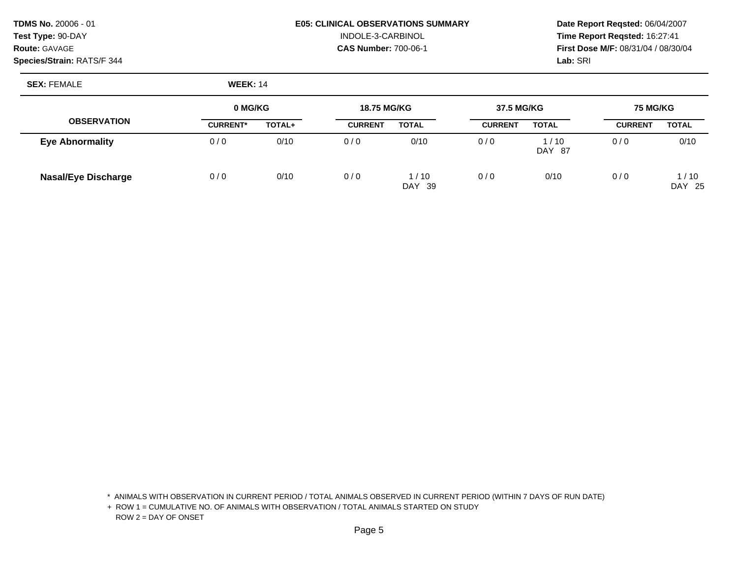**Species/Strain:** RATS/F 344 **Lab:** SRI

# **TDMS No.** 20006 - 01 **E05: CLINICAL OBSERVATIONS SUMMARY Date Report Reqsted:** 06/04/2007 **Test Type:** 90-DAY INDOLE-3-CARBINOL **Time Report Reqsted:** 16:27:41

**Route:** GAVAGE **CAS Number:** 700-06-1 **First Dose M/F:** 08/31/04 / 08/30/04

**SEX:** FEMALE **WEEK:** 14

|                            | 0 MG/KG         |        | <b>18.75 MG/KG</b> |                            | 37.5 MG/KG     |                  | <b>75 MG/KG</b> |                           |
|----------------------------|-----------------|--------|--------------------|----------------------------|----------------|------------------|-----------------|---------------------------|
| <b>OBSERVATION</b>         | <b>CURRENT*</b> | TOTAL+ | <b>CURRENT</b>     | <b>TOTAL</b>               | <b>CURRENT</b> | <b>TOTAL</b>     | <b>CURRENT</b>  | <b>TOTAL</b>              |
| <b>Eye Abnormality</b>     | 0/0             | 0/10   | 0/0                | 0/10                       | 0/0            | i / 10<br>DAY 87 | 0/0             | 0/10                      |
| <b>Nasal/Eye Discharge</b> | 0/0             | 0/10   | 0/0                | 1/10<br><b>DAY</b><br>- 39 | 0/0            | 0/10             | 0/0             | 1/10<br><b>DAY</b><br>-25 |

\* ANIMALS WITH OBSERVATION IN CURRENT PERIOD / TOTAL ANIMALS OBSERVED IN CURRENT PERIOD (WITHIN 7 DAYS OF RUN DATE)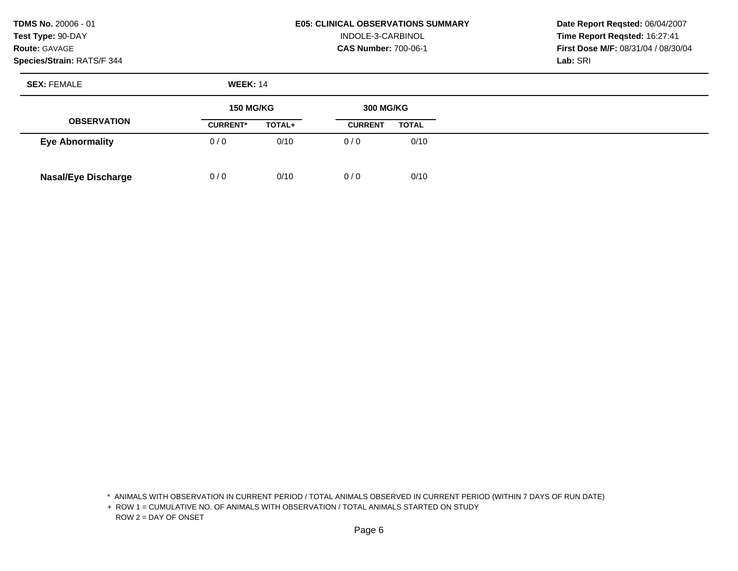**TDMS No.** 20006 - 01 **Test Type:** 90-DAY **Route:** GAVAGE

## **Species/Strain:** RATS/F 344

#### **E05: CLINICAL OBSERVATIONS SUMMARY**  INDOLE-3-CARBINOL **CAS Number:** 700-06-1

**Date Report Reqsted:** 06/04/2007 **Time Report Reqsted:** 16:27:41 **First Dose M/F:** 08/31/04 / 08/30/04 **Lab:** SRI

**SEX:** FEMALE **WEEK:** 14

|                            | <b>150 MG/KG</b> |        | <b>300 MG/KG</b> |              |
|----------------------------|------------------|--------|------------------|--------------|
| <b>OBSERVATION</b>         | <b>CURRENT*</b>  | TOTAL+ | <b>CURRENT</b>   | <b>TOTAL</b> |
| <b>Eye Abnormality</b>     | 0/0              | 0/10   | 0/0              | 0/10         |
| <b>Nasal/Eye Discharge</b> | 0/0              | 0/10   | 0/0              | 0/10         |

\* ANIMALS WITH OBSERVATION IN CURRENT PERIOD / TOTAL ANIMALS OBSERVED IN CURRENT PERIOD (WITHIN 7 DAYS OF RUN DATE)